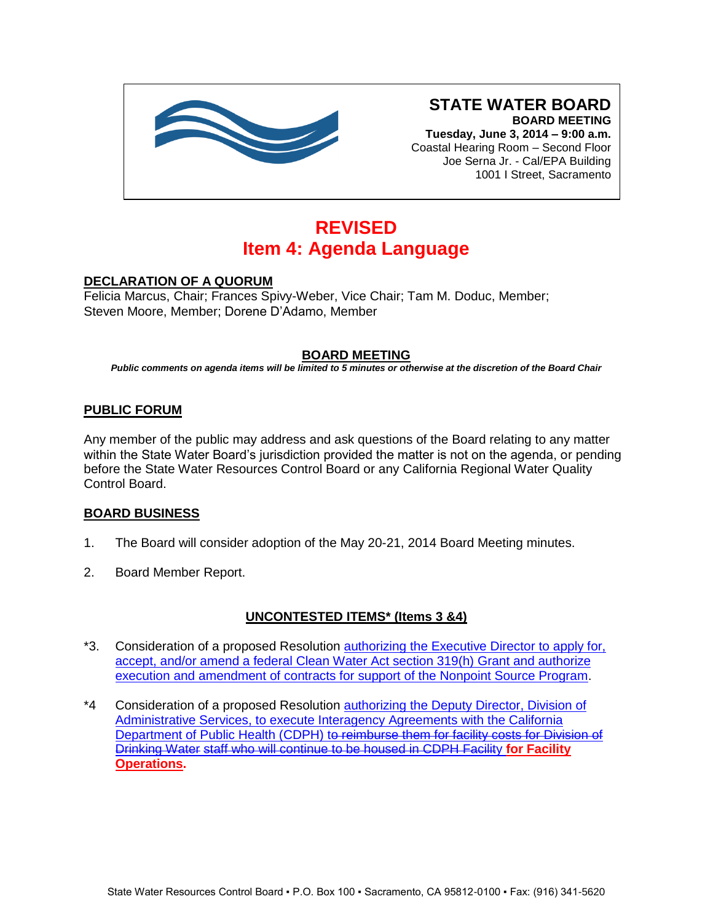

**Tuesday, June 3, 2014 – 9:00 a.m.** Coastal Hearing Room – Second Floor Joe Serna Jr. - Cal/EPA Building 1001 I Street, Sacramento

# **REVISED Item 4: Agenda Language**

# **DECLARATION OF A QUORUM**

Felicia Marcus, Chair; Frances Spivy-Weber, Vice Chair; Tam M. Doduc, Member; Steven Moore, Member; Dorene D'Adamo, Member

# **BOARD MEETING**

*Public comments on agenda items will be limited to 5 minutes or otherwise at the discretion of the Board Chair*

# **PUBLIC FORUM**

Any member of the public may address and ask questions of the Board relating to any matter within the State Water Board's jurisdiction provided the matter is not on the agenda, or pending before the State Water Resources Control Board or any California Regional Water Quality Control Board.

### **BOARD BUSINESS**

- 1. The Board will consider adoption of the May 20-21, 2014 Board Meeting minutes.
- 2. Board Member Report.

### **UNCONTESTED ITEMS\* (Items 3 &4)**

- \*3. Consideration of a proposed Resolution [authorizing the Executive Director to apply for,](http://www.waterboards.ca.gov/board_info/agendas/2014/jun/060314_3.pdf)  [accept, and/or amend a federal Clean Water Act section 319\(h\)](http://www.waterboards.ca.gov/board_info/agendas/2014/jun/060314_3.pdf) Grant and authorize [execution and amendment of contracts for support of the Nonpoint Source Program.](http://www.waterboards.ca.gov/board_info/agendas/2014/jun/060314_3.pdf)
- \*4 Consideration of a proposed Resolution authorizing the Deputy Director, Division of [Administrative Services, to execute Interagency Agreements with the California](http://www.waterboards.ca.gov/board_info/agendas/2014/jun/060314_4_revised.pdf)  Department of Public Health (CDPH) to reimburse them for facility costs for Division of Drinking Water [staff who will continue to be housed in CDPH](http://www.waterboards.ca.gov/board_info/agendas/2014/jun/060314_4_revised.pdf) Facility **for Facility [Operations.](http://www.waterboards.ca.gov/board_info/agendas/2014/jun/060314_4_revised.pdf)**